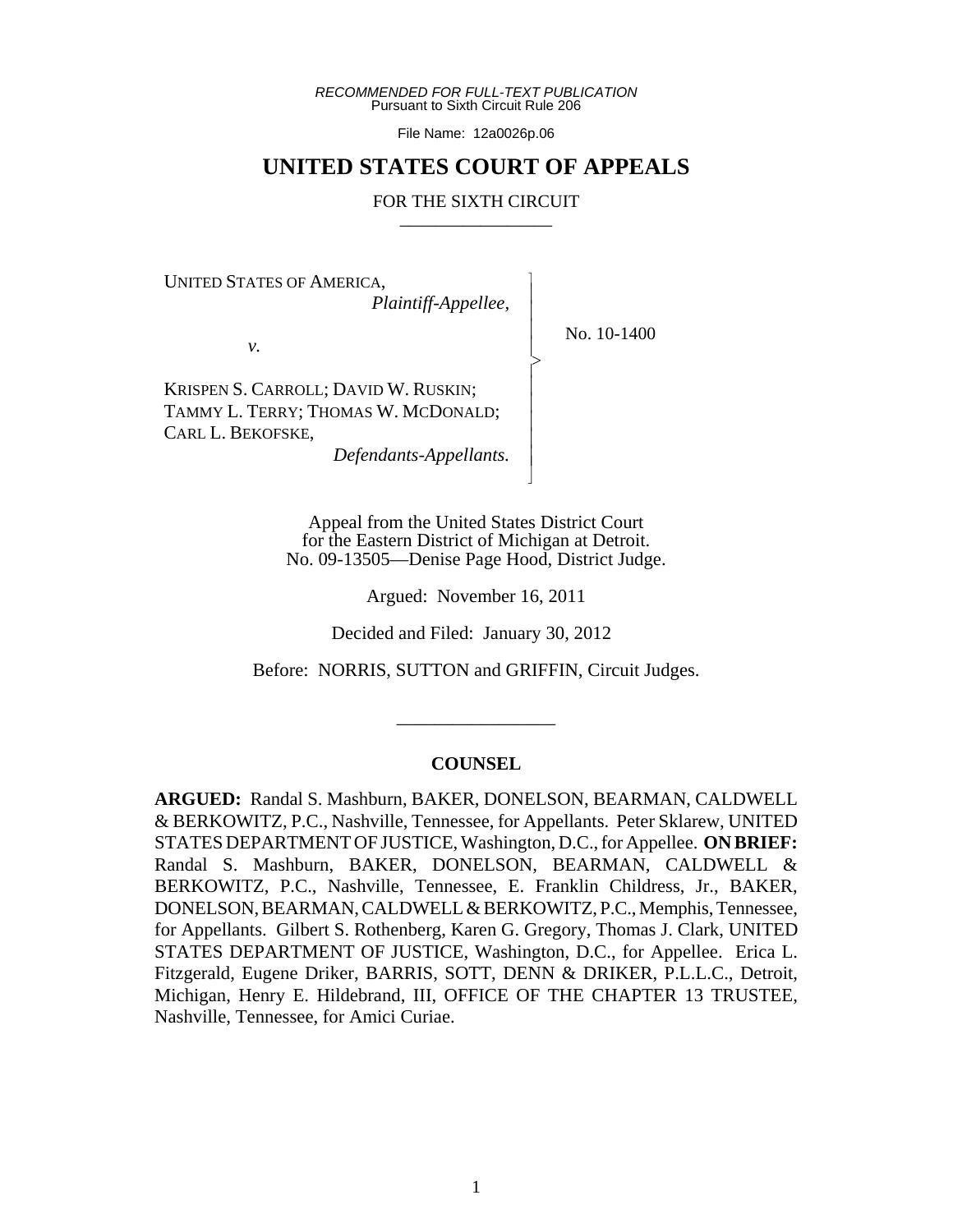*RECOMMENDED FOR FULL-TEXT PUBLICATION* Pursuant to Sixth Circuit Rule 206

File Name: 12a0026p.06

## **UNITED STATES COURT OF APPEALS**

### FOR THE SIXTH CIRCUIT

 $\overline{\phantom{a}}$ - - - > , - - - - - N

UNITED STATES OF AMERICA,

*Plaintiff-Appellee,*

No. 10-1400

*v.*

KRISPEN S. CARROLL; DAVID W. RUSKIN; TAMMY L. TERRY; THOMAS W. MCDONALD; CARL L. BEKOFSKE,

*Defendants-Appellants.*

Appeal from the United States District Court for the Eastern District of Michigan at Detroit. No. 09-13505—Denise Page Hood, District Judge.

Argued: November 16, 2011

Decided and Filed: January 30, 2012

Before: NORRIS, SUTTON and GRIFFIN, Circuit Judges.

\_\_\_\_\_\_\_\_\_\_\_\_\_\_\_\_\_

## **COUNSEL**

**ARGUED:** Randal S. Mashburn, BAKER, DONELSON, BEARMAN, CALDWELL & BERKOWITZ, P.C., Nashville, Tennessee, for Appellants. Peter Sklarew, UNITED STATES DEPARTMENT OF JUSTICE, Washington, D.C., for Appellee. **ON BRIEF:** Randal S. Mashburn, BAKER, DONELSON, BEARMAN, CALDWELL & BERKOWITZ, P.C., Nashville, Tennessee, E. Franklin Childress, Jr., BAKER, DONELSON, BEARMAN, CALDWELL & BERKOWITZ, P.C., Memphis, Tennessee, for Appellants. Gilbert S. Rothenberg, Karen G. Gregory, Thomas J. Clark, UNITED STATES DEPARTMENT OF JUSTICE, Washington, D.C., for Appellee. Erica L. Fitzgerald, Eugene Driker, BARRIS, SOTT, DENN & DRIKER, P.L.L.C., Detroit, Michigan, Henry E. Hildebrand, III, OFFICE OF THE CHAPTER 13 TRUSTEE, Nashville, Tennessee, for Amici Curiae.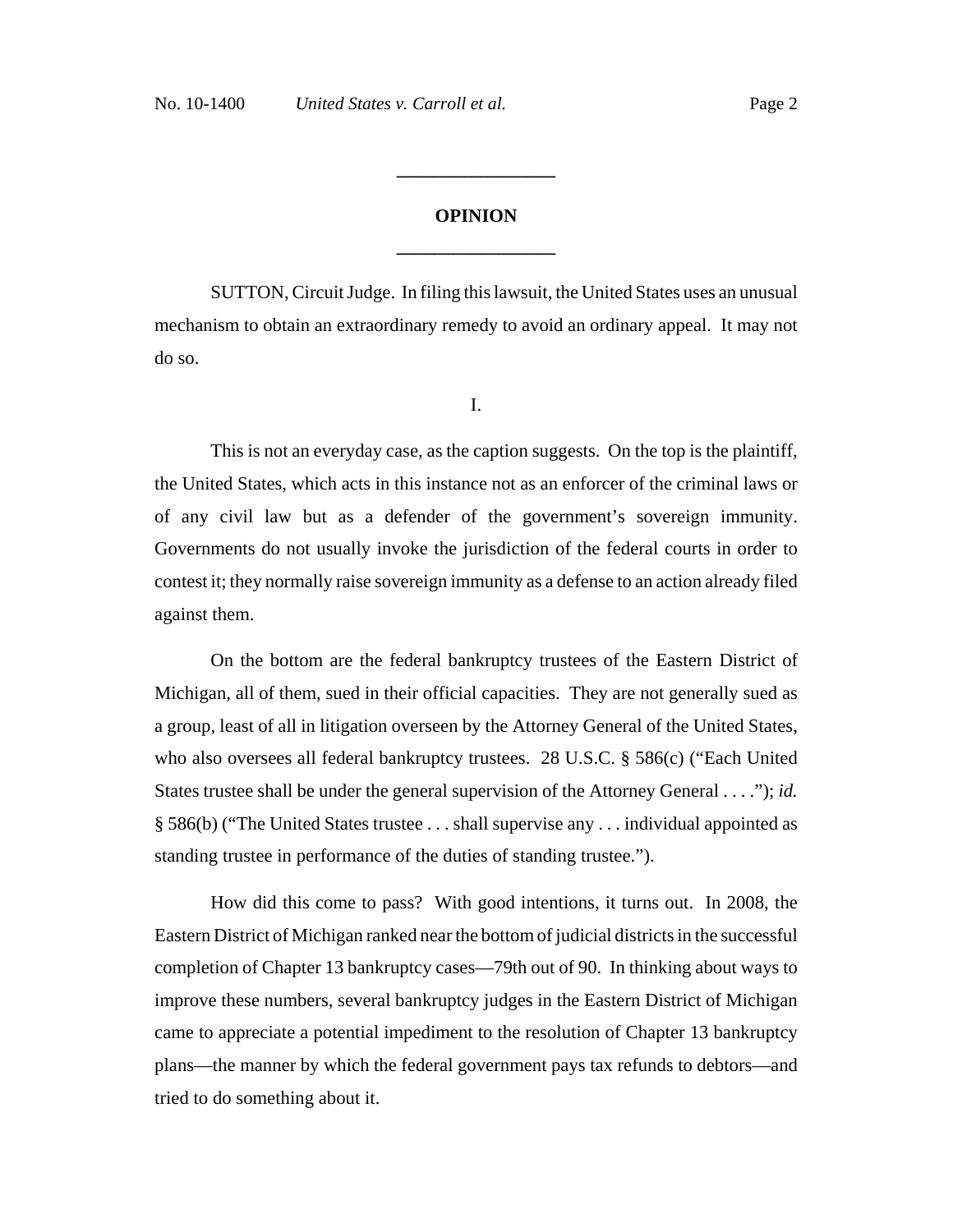# **OPINION \_\_\_\_\_\_\_\_\_\_\_\_\_\_\_\_\_**

**\_\_\_\_\_\_\_\_\_\_\_\_\_\_\_\_\_**

SUTTON, Circuit Judge. In filing this lawsuit, the United States uses an unusual mechanism to obtain an extraordinary remedy to avoid an ordinary appeal. It may not do so.

I.

This is not an everyday case, as the caption suggests. On the top is the plaintiff, the United States, which acts in this instance not as an enforcer of the criminal laws or of any civil law but as a defender of the government's sovereign immunity. Governments do not usually invoke the jurisdiction of the federal courts in order to contest it; they normally raise sovereign immunity as a defense to an action already filed against them.

On the bottom are the federal bankruptcy trustees of the Eastern District of Michigan, all of them, sued in their official capacities. They are not generally sued as a group, least of all in litigation overseen by the Attorney General of the United States, who also oversees all federal bankruptcy trustees. 28 U.S.C. § 586(c) ("Each United States trustee shall be under the general supervision of the Attorney General . . . ."); *id.* § 586(b) ("The United States trustee . . . shall supervise any . . . individual appointed as standing trustee in performance of the duties of standing trustee.").

How did this come to pass? With good intentions, it turns out. In 2008, the Eastern District of Michigan ranked near the bottom of judicial districts in the successful completion of Chapter 13 bankruptcy cases—79th out of 90. In thinking about ways to improve these numbers, several bankruptcy judges in the Eastern District of Michigan came to appreciate a potential impediment to the resolution of Chapter 13 bankruptcy plans—the manner by which the federal government pays tax refunds to debtors—and tried to do something about it.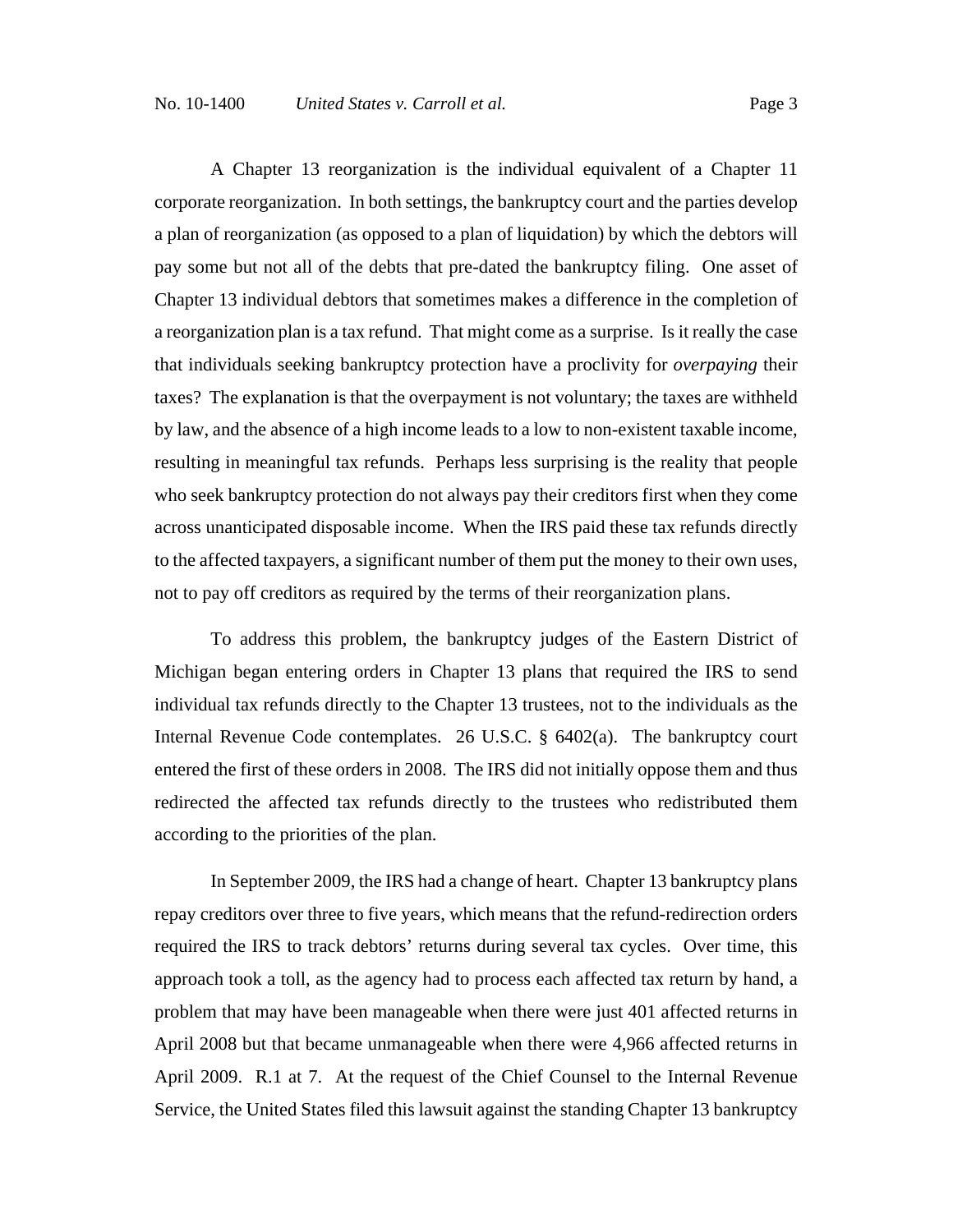A Chapter 13 reorganization is the individual equivalent of a Chapter 11 corporate reorganization. In both settings, the bankruptcy court and the parties develop a plan of reorganization (as opposed to a plan of liquidation) by which the debtors will pay some but not all of the debts that pre-dated the bankruptcy filing. One asset of Chapter 13 individual debtors that sometimes makes a difference in the completion of a reorganization plan is a tax refund. That might come as a surprise. Is it really the case that individuals seeking bankruptcy protection have a proclivity for *overpaying* their taxes? The explanation is that the overpayment is not voluntary; the taxes are withheld by law, and the absence of a high income leads to a low to non-existent taxable income, resulting in meaningful tax refunds. Perhaps less surprising is the reality that people who seek bankruptcy protection do not always pay their creditors first when they come across unanticipated disposable income. When the IRS paid these tax refunds directly to the affected taxpayers, a significant number of them put the money to their own uses, not to pay off creditors as required by the terms of their reorganization plans.

To address this problem, the bankruptcy judges of the Eastern District of Michigan began entering orders in Chapter 13 plans that required the IRS to send individual tax refunds directly to the Chapter 13 trustees, not to the individuals as the Internal Revenue Code contemplates. 26 U.S.C. § 6402(a). The bankruptcy court entered the first of these orders in 2008. The IRS did not initially oppose them and thus redirected the affected tax refunds directly to the trustees who redistributed them according to the priorities of the plan.

In September 2009, the IRS had a change of heart. Chapter 13 bankruptcy plans repay creditors over three to five years, which means that the refund-redirection orders required the IRS to track debtors' returns during several tax cycles. Over time, this approach took a toll, as the agency had to process each affected tax return by hand, a problem that may have been manageable when there were just 401 affected returns in April 2008 but that became unmanageable when there were 4,966 affected returns in April 2009. R.1 at 7. At the request of the Chief Counsel to the Internal Revenue Service, the United States filed this lawsuit against the standing Chapter 13 bankruptcy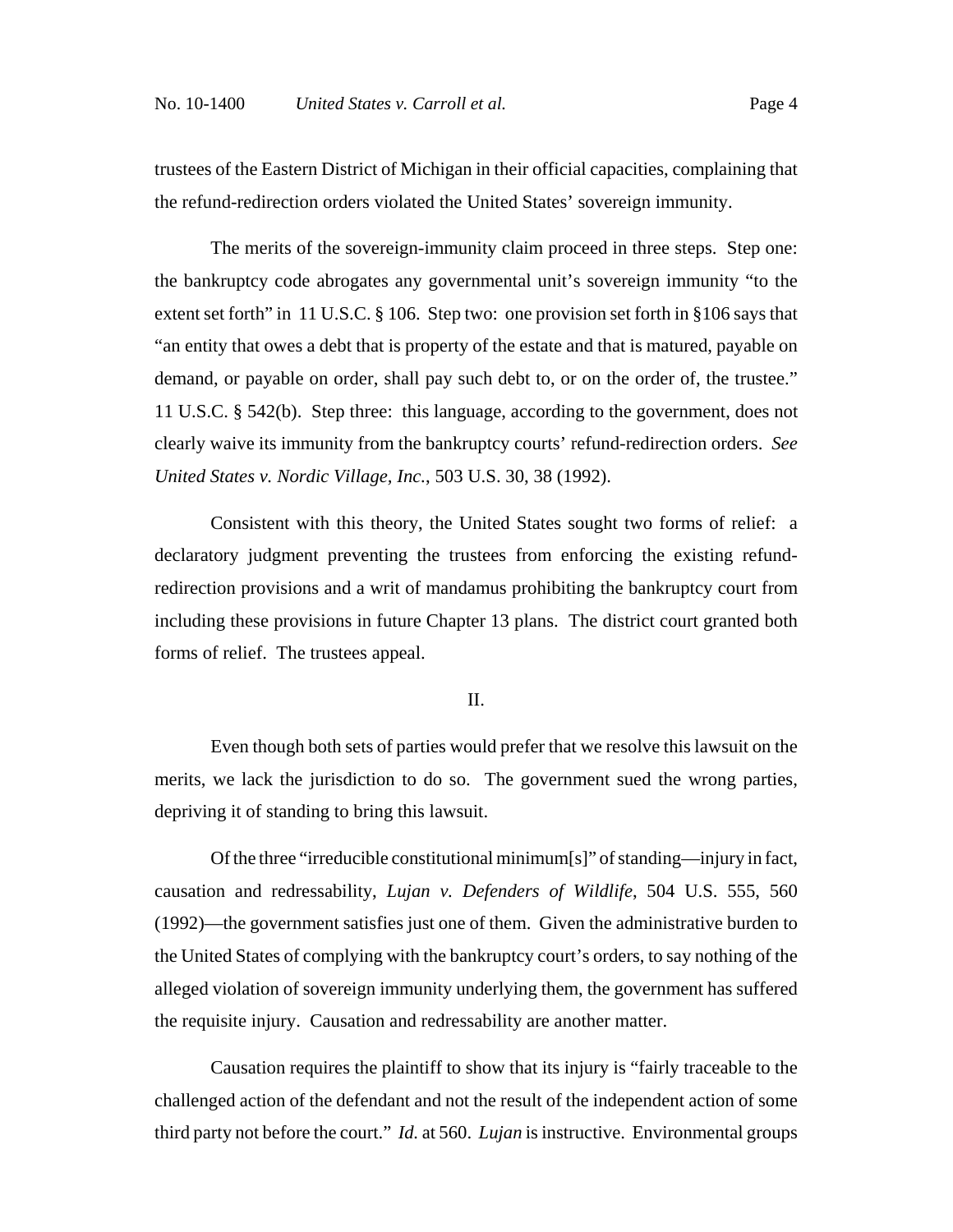trustees of the Eastern District of Michigan in their official capacities, complaining that the refund-redirection orders violated the United States' sovereign immunity.

The merits of the sovereign-immunity claim proceed in three steps. Step one: the bankruptcy code abrogates any governmental unit's sovereign immunity "to the extent set forth" in 11 U.S.C. § 106. Step two: one provision set forth in §106 says that "an entity that owes a debt that is property of the estate and that is matured, payable on demand, or payable on order, shall pay such debt to, or on the order of, the trustee." 11 U.S.C. § 542(b). Step three: this language, according to the government, does not clearly waive its immunity from the bankruptcy courts' refund-redirection orders. *See United States v. Nordic Village, Inc.*, 503 U.S. 30, 38 (1992).

Consistent with this theory, the United States sought two forms of relief: a declaratory judgment preventing the trustees from enforcing the existing refundredirection provisions and a writ of mandamus prohibiting the bankruptcy court from including these provisions in future Chapter 13 plans. The district court granted both forms of relief. The trustees appeal.

#### II.

Even though both sets of parties would prefer that we resolve this lawsuit on the merits, we lack the jurisdiction to do so.The government sued the wrong parties, depriving it of standing to bring this lawsuit.

Of the three "irreducible constitutional minimum[s]" of standing—injury in fact, causation and redressability, *Lujan v. Defenders of Wildlife*, 504 U.S. 555, 560 (1992)—the government satisfies just one of them. Given the administrative burden to the United States of complying with the bankruptcy court's orders, to say nothing of the alleged violation of sovereign immunity underlying them, the government has suffered the requisite injury. Causation and redressability are another matter.

Causation requires the plaintiff to show that its injury is "fairly traceable to the challenged action of the defendant and not the result of the independent action of some third party not before the court." *Id.* at 560. *Lujan* is instructive. Environmental groups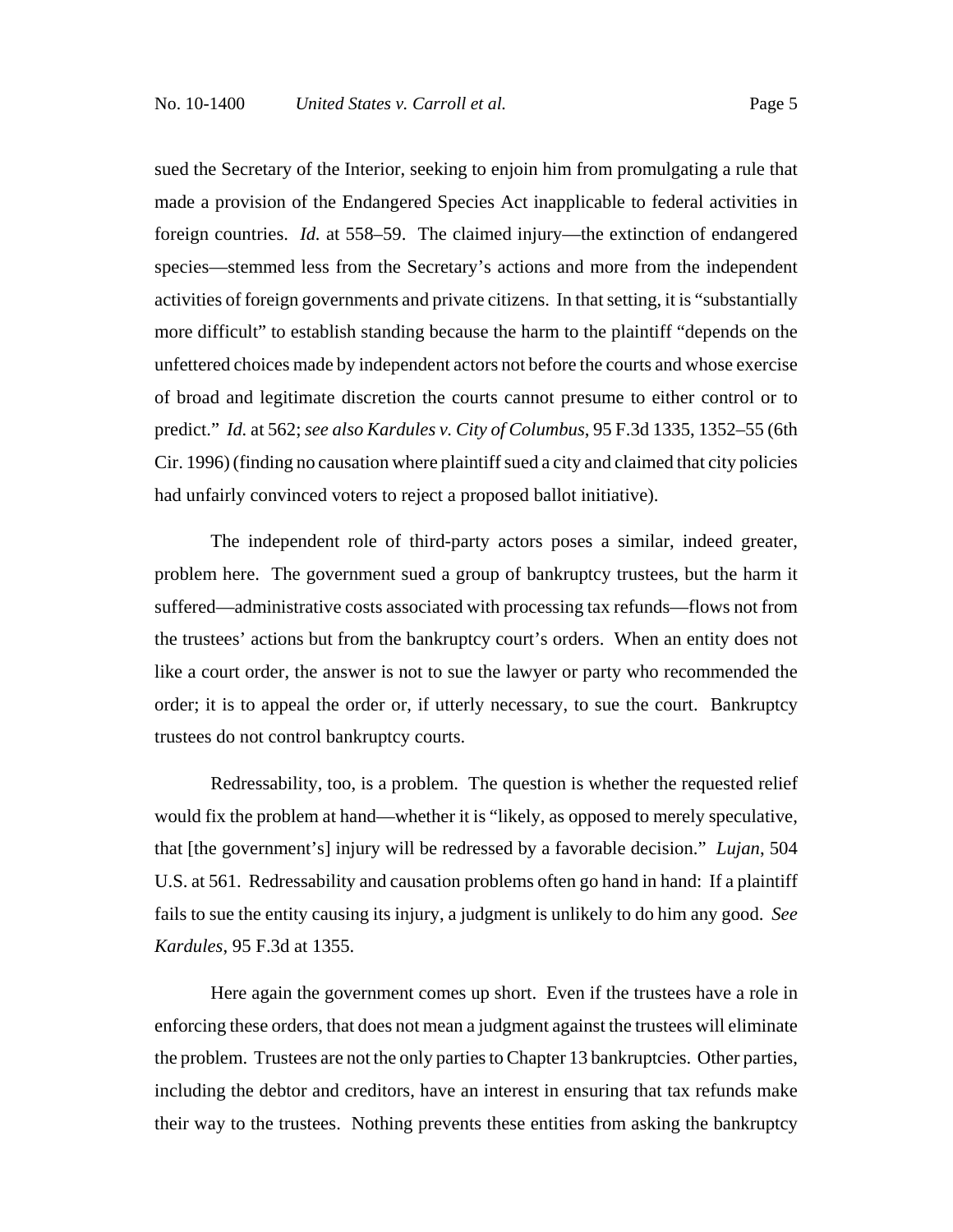sued the Secretary of the Interior, seeking to enjoin him from promulgating a rule that made a provision of the Endangered Species Act inapplicable to federal activities in foreign countries. *Id.* at 558–59. The claimed injury—the extinction of endangered species—stemmed less from the Secretary's actions and more from the independent activities of foreign governments and private citizens. In that setting, it is "substantially more difficult" to establish standing because the harm to the plaintiff "depends on the unfettered choices made by independent actors not before the courts and whose exercise of broad and legitimate discretion the courts cannot presume to either control or to predict." *Id.* at 562; *see also Kardules v. City of Columbus*, 95 F.3d 1335, 1352–55 (6th Cir. 1996) (finding no causation where plaintiff sued a city and claimed that city policies

The independent role of third-party actors poses a similar, indeed greater, problem here. The government sued a group of bankruptcy trustees, but the harm it suffered—administrative costs associated with processing tax refunds—flows not from the trustees' actions but from the bankruptcy court's orders. When an entity does not like a court order, the answer is not to sue the lawyer or party who recommended the order; it is to appeal the order or, if utterly necessary, to sue the court. Bankruptcy trustees do not control bankruptcy courts.

had unfairly convinced voters to reject a proposed ballot initiative).

Redressability, too, is a problem. The question is whether the requested relief would fix the problem at hand—whether it is "likely, as opposed to merely speculative, that [the government's] injury will be redressed by a favorable decision." *Lujan*, 504 U.S. at 561. Redressability and causation problems often go hand in hand: If a plaintiff fails to sue the entity causing its injury, a judgment is unlikely to do him any good. *See Kardules*, 95 F.3d at 1355.

Here again the government comes up short. Even if the trustees have a role in enforcing these orders, that does not mean a judgment against the trustees will eliminate the problem. Trustees are not the only parties to Chapter 13 bankruptcies. Other parties, including the debtor and creditors, have an interest in ensuring that tax refunds make their way to the trustees. Nothing prevents these entities from asking the bankruptcy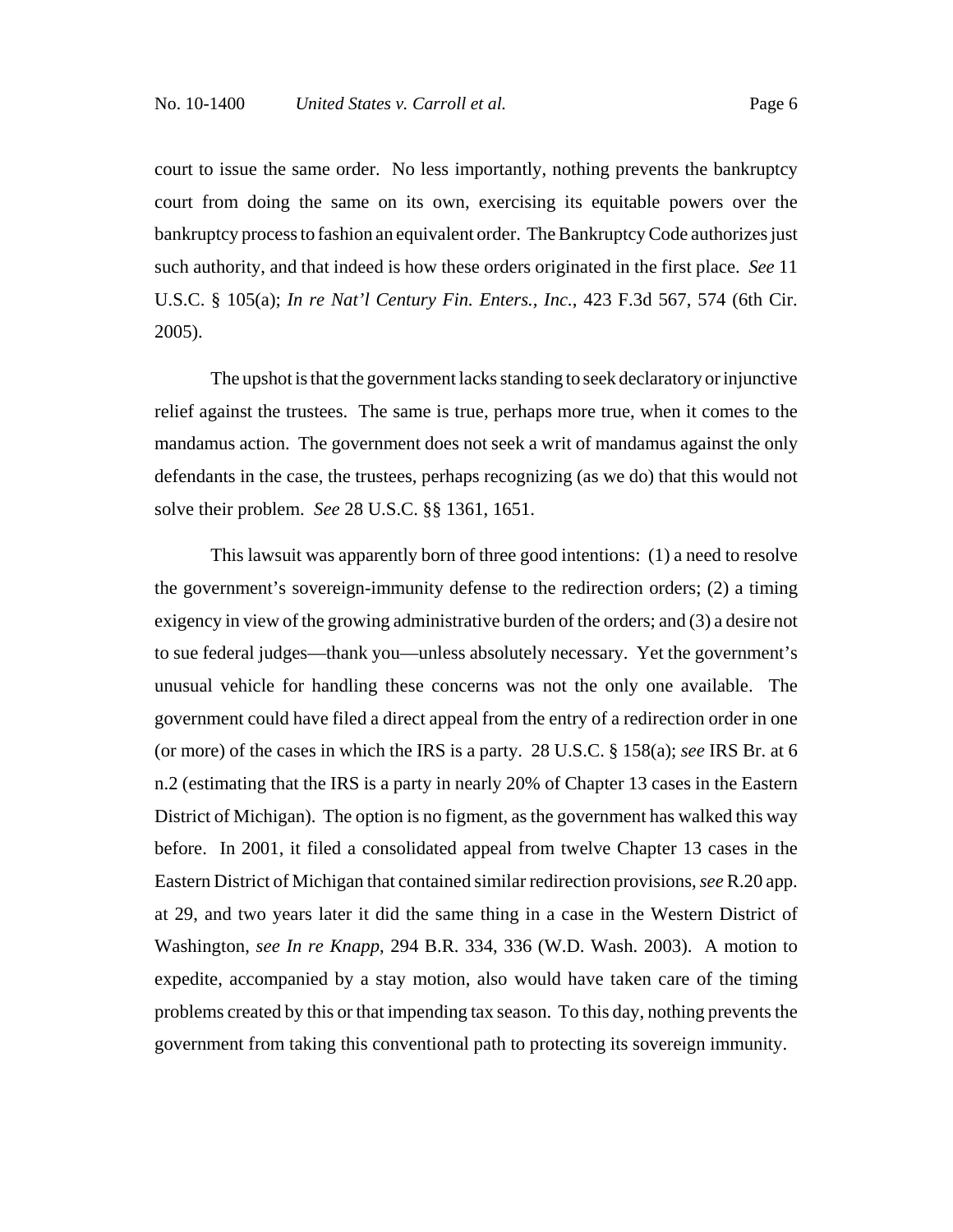court to issue the same order. No less importantly, nothing prevents the bankruptcy court from doing the same on its own, exercising its equitable powers over the bankruptcy process to fashion an equivalent order. The Bankruptcy Code authorizes just such authority, and that indeed is how these orders originated in the first place. *See* 11 U.S.C. § 105(a); *In re Nat'l Century Fin. Enters., Inc.*, 423 F.3d 567, 574 (6th Cir. 2005).

The upshot is that the government lacks standing to seek declaratory or injunctive relief against the trustees. The same is true, perhaps more true, when it comes to the mandamus action. The government does not seek a writ of mandamus against the only defendants in the case, the trustees, perhaps recognizing (as we do) that this would not solve their problem. *See* 28 U.S.C. §§ 1361, 1651.

This lawsuit was apparently born of three good intentions: (1) a need to resolve the government's sovereign-immunity defense to the redirection orders; (2) a timing exigency in view of the growing administrative burden of the orders; and (3) a desire not to sue federal judges—thank you—unless absolutely necessary. Yet the government's unusual vehicle for handling these concerns was not the only one available. The government could have filed a direct appeal from the entry of a redirection order in one (or more) of the cases in which the IRS is a party. 28 U.S.C. § 158(a); *see* IRS Br. at 6 n.2 (estimating that the IRS is a party in nearly 20% of Chapter 13 cases in the Eastern District of Michigan). The option is no figment, as the government has walked this way before. In 2001, it filed a consolidated appeal from twelve Chapter 13 cases in the Eastern District of Michigan that contained similar redirection provisions, *see* R.20 app. at 29, and two years later it did the same thing in a case in the Western District of Washington, *see In re Knapp*, 294 B.R. 334, 336 (W.D. Wash. 2003). A motion to expedite, accompanied by a stay motion, also would have taken care of the timing problems created by this or that impending tax season. To this day, nothing prevents the government from taking this conventional path to protecting its sovereign immunity.